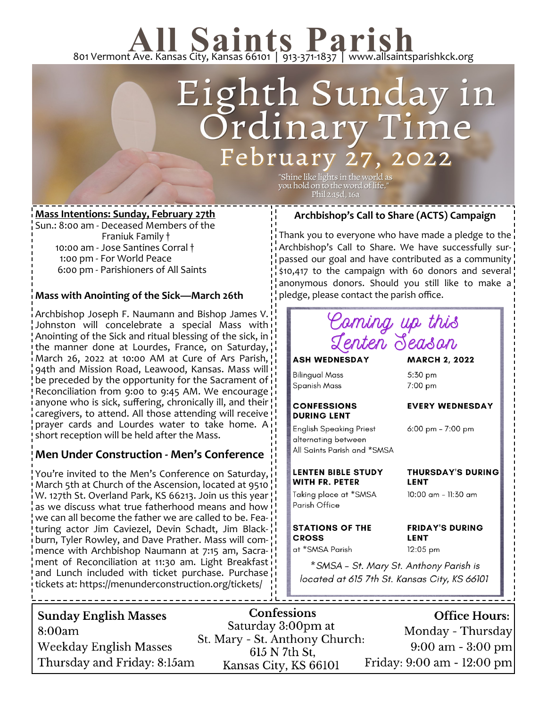# 801 Vermont Ave. Kansas City, Kansas 66101 | 913-371-1837 | www.allsaintsparishkck.org

### Eighth Sunday i *Prdinary* February 27, 022

"Shine like lights in the world as you hold on to the word of life." Phil 2:15d, 16a

### **Mass Intentions: Sunday, February 27th**

Sun.: 8:00 am - Deceased Members of the Franiuk Family † 10:00 am - Jose Santines Corral † 1:00 pm - For World Peace 6:00 pm - Parishioners of All Saints

### **Mass with Anointing of the Sick—March 26th**

Archbishop Joseph F. Naumann and Bishop James V. Johnston will concelebrate a special Mass with Anointing of the Sick and ritual blessing of the sick, in the manner done at Lourdes, France, on Saturday, March 26, 2022 at 10:00 AM at Cure of Ars Parish, 94th and Mission Road, Leawood, Kansas. Mass will be preceded by the opportunity for the Sacrament of Reconciliation from 9:00 to 9:45 AM. We encourage anyone who is sick, suffering, chronically ill, and their caregivers, to attend. All those attending will receive prayer cards and Lourdes water to take home. A short reception will be held after the Mass.

### **Men Under Construction - Men's Conference**

You're invited to the Men's Conference on Saturday, March 5th at Church of the Ascension, located at 9510 W. 127th St. Overland Park, KS 66213. Join us this year as we discuss what true fatherhood means and how we can all become the father we are called to be. Featuring actor Jim Caviezel, Devin Schadt, Jim Blackburn, Tyler Rowley, and Dave Prather. Mass will commence with Archbishop Naumann at 7:15 am, Sacrament of Reconciliation at 11:30 am. Light Breakfast and Lunch included with ticket purchase. Purchase tickets at: https://menunderconstruction.org/tickets/

### **Archbishop's Call to Share (ACTS) Campaign**

Thank you to everyone who have made a pledge to the Archbishop's Call to Share. We have successfully surpassed our goal and have contributed as a community \$10,417 to the campaign with 60 donors and several anonymous donors. Should you still like to make a pledge, please contact the parish office.



\* SMSA - St. Mary St. Anthony Parish is located at 615 7th St. Kansas City, KS 66101

| <b>Sunday English Masses</b> | <b>Confessions</b>                                   | Office Hours:                       |
|------------------------------|------------------------------------------------------|-------------------------------------|
| 8:00am                       | Saturday 3:00pm at<br>St. Mary - St. Anthony Church: | Monday - Thursday                   |
| Weekday English Masses       | 615 N 7th St.                                        | $9:00 \text{ am} - 3:00 \text{ pm}$ |
| Thursday and Friday: 8:15am  | Kansas City, KS 66101                                | Friday: 9:00 am - 12:00 pm          |